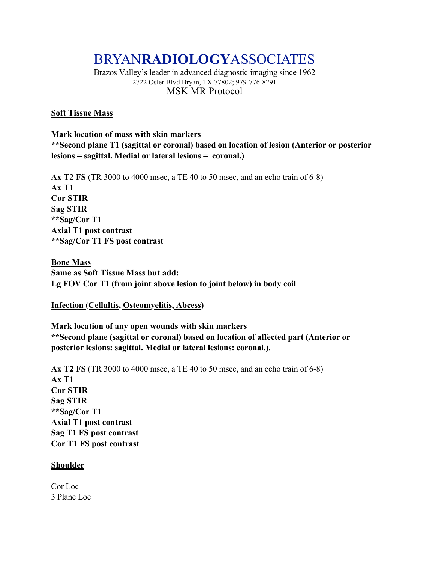# BRYAN**RADIOLOGY**ASSOCIATES

Brazos Valley's leader in advanced diagnostic imaging since 1962 2722 Osler Blvd Bryan, TX 77802; 979-776-8291 MSK MR Protocol

#### **Soft Tissue Mass**

**Mark location of mass with skin markers \*\*Second plane T1 (sagittal or coronal) based on location of lesion (Anterior or posterior lesions = sagittal. Medial or lateral lesions = coronal.)**

**Ax T2 FS** (TR 3000 to 4000 msec, a TE 40 to 50 msec, and an echo train of 6-8) **Ax T1 Cor STIR Sag STIR \*\*Sag/Cor T1 Axial T1 post contrast \*\*Sag/Cor T1 FS post contrast**

**Bone Mass Same as Soft Tissue Mass but add: Lg FOV Cor T1 (from joint above lesion to joint below) in body coil**

**Infection (Cellultis, Osteomyelitis, Abcess)**

**Mark location of any open wounds with skin markers \*\*Second plane (sagittal or coronal) based on location of affected part (Anterior or posterior lesions: sagittal. Medial or lateral lesions: coronal.).** 

**Ax T2 FS** (TR 3000 to 4000 msec, a TE 40 to 50 msec, and an echo train of 6-8) **Ax T1 Cor STIR Sag STIR \*\*Sag/Cor T1 Axial T1 post contrast Sag T1 FS post contrast Cor T1 FS post contrast**

#### **Shoulder**

Cor Loc 3 Plane Loc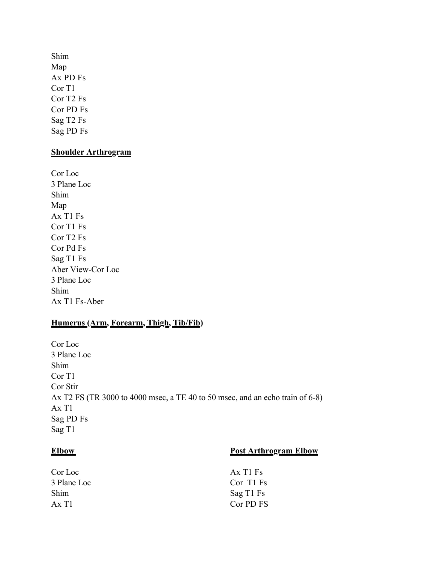Shim Map Ax PD Fs Cor T1 Cor T2 Fs Cor PD Fs Sag T2 Fs Sag PD Fs

#### **Shoulder Arthrogram**

Cor Loc 3 Plane Loc Shim Map Ax T1 Fs Cor T1 Fs Cor T2 Fs Cor Pd Fs Sag T1 Fs Aber View-Cor Loc 3 Plane Loc Shim Ax T1 Fs-Aber

# **Humerus (Arm, Forearm, Thigh, Tib/Fib)**

Cor Loc 3 Plane Loc Shim Cor T1 Cor Stir Ax T2 FS (TR 3000 to 4000 msec, a TE 40 to 50 msec, and an echo train of 6-8) Ax T1 Sag PD Fs Sag T1

# **Elbow** Post Arthrogram Elbow

| Ax T <sub>1</sub> F <sub>s</sub> |
|----------------------------------|
| Cor T1 Fs                        |
| Sag T1 Fs                        |
| Cor PD FS                        |
|                                  |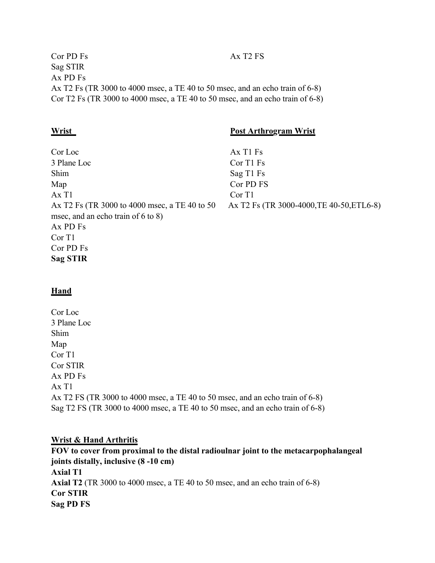Cor PD Fs Ax T2 FS Sag STIR Ax PD Fs Ax T2 Fs (TR 3000 to 4000 msec, a TE 40 to 50 msec, and an echo train of 6-8) Cor T2 Fs (TR 3000 to 4000 msec, a TE 40 to 50 msec, and an echo train of 6-8)

### **Wrist Post Arthrogram Wrist**

 $Ax$  T1 Fs Cor T1 Fs Sag T1 Fs Cor PD FS Cor T1 Ax T2 Fs (TR 3000-4000,TE 40-50,ETL6-8)

# **Hand**

Cor Loc 3 Plane Loc Shim Map Cor T1 Cor STIR Ax PD Fs Ax T1 Ax T2 FS (TR 3000 to 4000 msec, a TE 40 to 50 msec, and an echo train of 6-8) Sag T2 FS (TR 3000 to 4000 msec, a TE 40 to 50 msec, and an echo train of 6-8)

#### **Wrist & Hand Arthritis**

**FOV to cover from proximal to the distal radioulnar joint to the metacarpophalangeal joints distally, inclusive (8 -10 cm) Axial T1 Axial T2** (TR 3000 to 4000 msec, a TE 40 to 50 msec, and an echo train of 6-8) **Cor STIR Sag PD FS**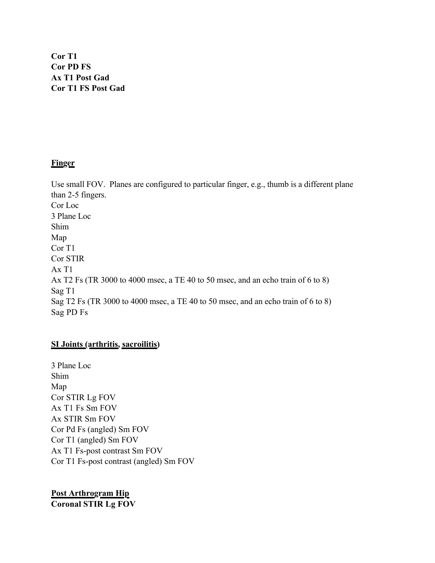**Cor T1 Cor PD FS Ax T1 Post Gad Cor T1 FS Post Gad**

### **Finger**

Use small FOV. Planes are configured to particular finger, e.g., thumb is a different plane than 2-5 fingers. Cor Loc 3 Plane Loc Shim Map Cor T1 Cor STIR Ax T1 Ax T2 Fs (TR 3000 to 4000 msec, a TE 40 to 50 msec, and an echo train of 6 to 8) Sag T1 Sag T2 Fs (TR 3000 to 4000 msec, a TE 40 to 50 msec, and an echo train of 6 to 8) Sag PD Fs

#### **SI Joints (arthritis, sacroilitis)**

3 Plane Loc Shim Map Cor STIR Lg FOV Ax T1 Fs Sm FOV Ax STIR Sm FOV Cor Pd Fs (angled) Sm FOV Cor T1 (angled) Sm FOV Ax T1 Fs-post contrast Sm FOV Cor T1 Fs-post contrast (angled) Sm FOV

**Post Arthrogram Hip Coronal STIR Lg FOV**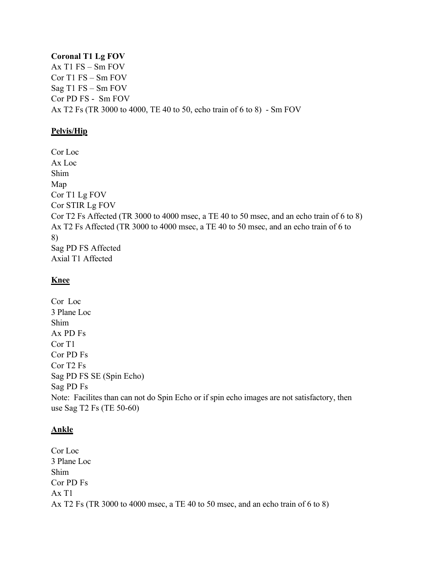# **Coronal T1 Lg FOV**

Ax T1 FS – Sm FOV Cor T1 FS – Sm FOV Sag T1 FS – Sm FOV Cor PD FS - Sm FOV Ax T2 Fs (TR 3000 to 4000, TE 40 to 50, echo train of 6 to 8) - Sm FOV

# **Pelvis/Hip**

Cor Loc Ax Loc Shim Map Cor T1 Lg FOV Cor STIR Lg FOV Cor T2 Fs Affected (TR 3000 to 4000 msec, a TE 40 to 50 msec, and an echo train of 6 to 8) Ax T2 Fs Affected (TR 3000 to 4000 msec, a TE 40 to 50 msec, and an echo train of 6 to 8) Sag PD FS Affected Axial T1 Affected

# **Knee**

Cor Loc 3 Plane Loc Shim Ax PD Fs Cor T1 Cor PD Fs Cor T2 Fs Sag PD FS SE (Spin Echo) Sag PD Fs Note: Facilites than can not do Spin Echo or if spin echo images are not satisfactory, then use Sag T2 Fs (TE 50-60)

# **Ankle**

Cor Loc 3 Plane Loc Shim Cor PD Fs Ax T1 Ax T2 Fs (TR 3000 to 4000 msec, a TE 40 to 50 msec, and an echo train of 6 to 8)